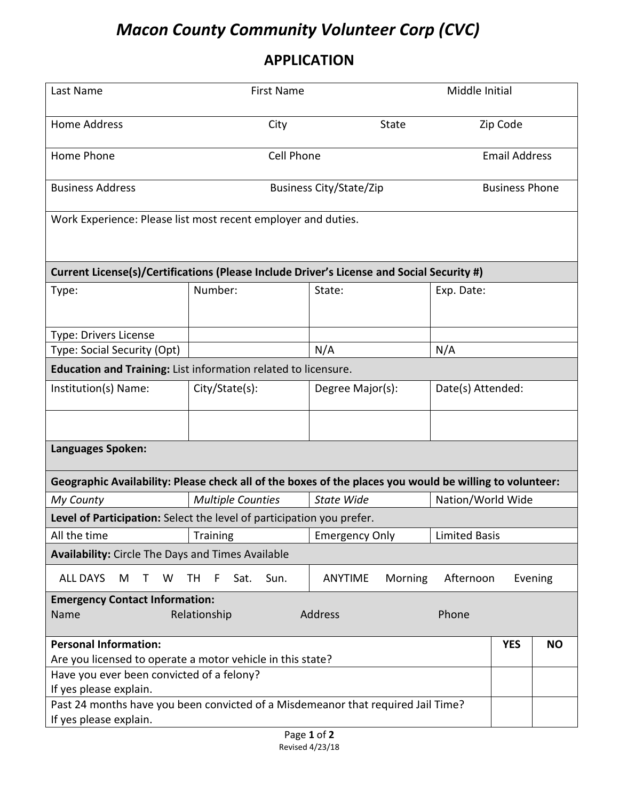## *Macon County Community Volunteer Corp (CVC)*

## **APPLICATION**

| Last Name                                                                                                  | <b>First Name</b>              |                                       | Middle Initial        |            |           |  |  |  |
|------------------------------------------------------------------------------------------------------------|--------------------------------|---------------------------------------|-----------------------|------------|-----------|--|--|--|
| <b>Home Address</b>                                                                                        | City                           | <b>State</b>                          |                       | Zip Code   |           |  |  |  |
| Home Phone                                                                                                 | Cell Phone                     |                                       | <b>Email Address</b>  |            |           |  |  |  |
| <b>Business Address</b>                                                                                    | <b>Business City/State/Zip</b> |                                       | <b>Business Phone</b> |            |           |  |  |  |
| Work Experience: Please list most recent employer and duties.                                              |                                |                                       |                       |            |           |  |  |  |
| Current License(s)/Certifications (Please Include Driver's License and Social Security #)                  |                                |                                       |                       |            |           |  |  |  |
| Type:                                                                                                      | Number:                        | State:                                | Exp. Date:            |            |           |  |  |  |
| Type: Drivers License                                                                                      |                                |                                       |                       |            |           |  |  |  |
| Type: Social Security (Opt)                                                                                |                                | N/A                                   | N/A                   |            |           |  |  |  |
| Education and Training: List information related to licensure.                                             |                                |                                       |                       |            |           |  |  |  |
| Institution(s) Name:                                                                                       | City/State(s):                 | Date(s) Attended:<br>Degree Major(s): |                       |            |           |  |  |  |
|                                                                                                            |                                |                                       |                       |            |           |  |  |  |
| Languages Spoken:                                                                                          |                                |                                       |                       |            |           |  |  |  |
| Geographic Availability: Please check all of the boxes of the places you would be willing to volunteer:    |                                |                                       |                       |            |           |  |  |  |
| My County                                                                                                  | <b>Multiple Counties</b>       | <b>State Wide</b>                     | Nation/World Wide     |            |           |  |  |  |
| Level of Participation: Select the level of participation you prefer.                                      |                                |                                       |                       |            |           |  |  |  |
| All the time                                                                                               | Training                       | <b>Emergency Only</b>                 | <b>Limited Basis</b>  |            |           |  |  |  |
| <b>Availability:</b> Circle The Days and Times Available                                                   |                                |                                       |                       |            |           |  |  |  |
| <b>ALL DAYS</b><br>M<br>W<br>T.                                                                            | Sat.<br>TН<br>F.<br>Sun.       | ANYTIME<br>Morning                    | Afternoon             |            | Evening   |  |  |  |
| <b>Emergency Contact Information:</b><br>Relationship<br>Address<br>Phone<br>Name                          |                                |                                       |                       |            |           |  |  |  |
| <b>Personal Information:</b>                                                                               |                                |                                       |                       | <b>YES</b> | <b>NO</b> |  |  |  |
| Are you licensed to operate a motor vehicle in this state?                                                 |                                |                                       |                       |            |           |  |  |  |
| Have you ever been convicted of a felony?                                                                  |                                |                                       |                       |            |           |  |  |  |
| If yes please explain.                                                                                     |                                |                                       |                       |            |           |  |  |  |
| Past 24 months have you been convicted of a Misdemeanor that required Jail Time?<br>If yes please explain. |                                |                                       |                       |            |           |  |  |  |